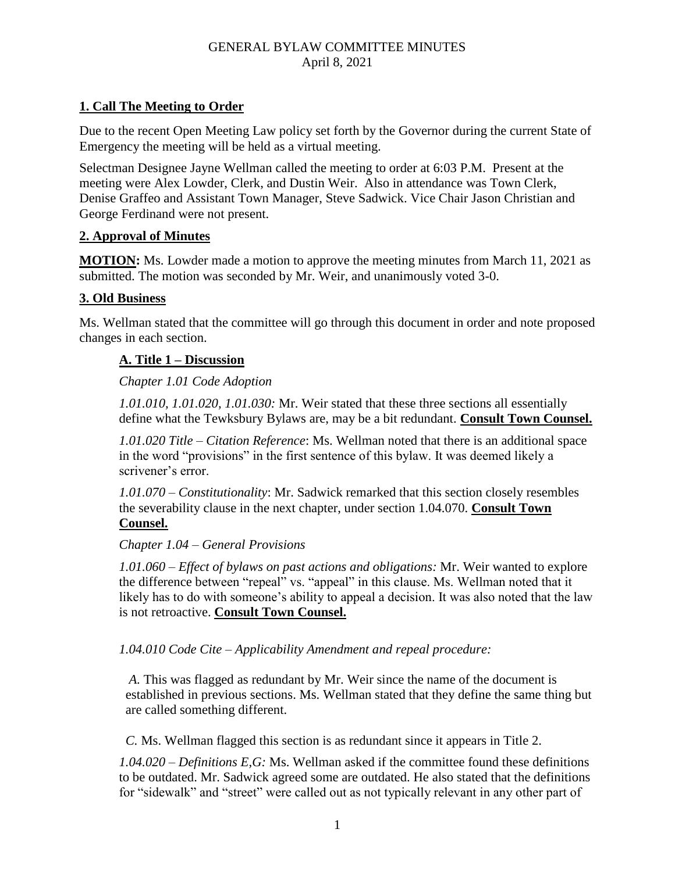# **1. Call The Meeting to Order**

Due to the recent Open Meeting Law policy set forth by the Governor during the current State of Emergency the meeting will be held as a virtual meeting.

Selectman Designee Jayne Wellman called the meeting to order at 6:03 P.M. Present at the meeting were Alex Lowder, Clerk, and Dustin Weir. Also in attendance was Town Clerk, Denise Graffeo and Assistant Town Manager, Steve Sadwick. Vice Chair Jason Christian and George Ferdinand were not present.

## **2. Approval of Minutes**

**MOTION:** Ms. Lowder made a motion to approve the meeting minutes from March 11, 2021 as submitted. The motion was seconded by Mr. Weir, and unanimously voted 3-0.

### **3. Old Business**

Ms. Wellman stated that the committee will go through this document in order and note proposed changes in each section.

### **A. Title 1 – Discussion**

### *Chapter 1.01 Code Adoption*

*1.01.010, 1.01.020, 1.01.030:* Mr. Weir stated that these three sections all essentially define what the Tewksbury Bylaws are, may be a bit redundant. **Consult Town Counsel.**

*1.01.020 Title – Citation Reference*: Ms. Wellman noted that there is an additional space in the word "provisions" in the first sentence of this bylaw. It was deemed likely a scrivener's error.

*1.01.070 – Constitutionality*: Mr. Sadwick remarked that this section closely resembles the severability clause in the next chapter, under section 1.04.070. **Consult Town Counsel.**

#### *Chapter 1.04 – General Provisions*

*1.01.060 – Effect of bylaws on past actions and obligations:* Mr. Weir wanted to explore the difference between "repeal" vs. "appeal" in this clause. Ms. Wellman noted that it likely has to do with someone's ability to appeal a decision. It was also noted that the law is not retroactive. **Consult Town Counsel.**

*1.04.010 Code Cite – Applicability Amendment and repeal procedure:* 

 *A.* This was flagged as redundant by Mr. Weir since the name of the document is established in previous sections. Ms. Wellman stated that they define the same thing but are called something different.

 *C.* Ms. Wellman flagged this section is as redundant since it appears in Title 2.

*1.04.020 – Definitions E,G:* Ms. Wellman asked if the committee found these definitions to be outdated. Mr. Sadwick agreed some are outdated. He also stated that the definitions for "sidewalk" and "street" were called out as not typically relevant in any other part of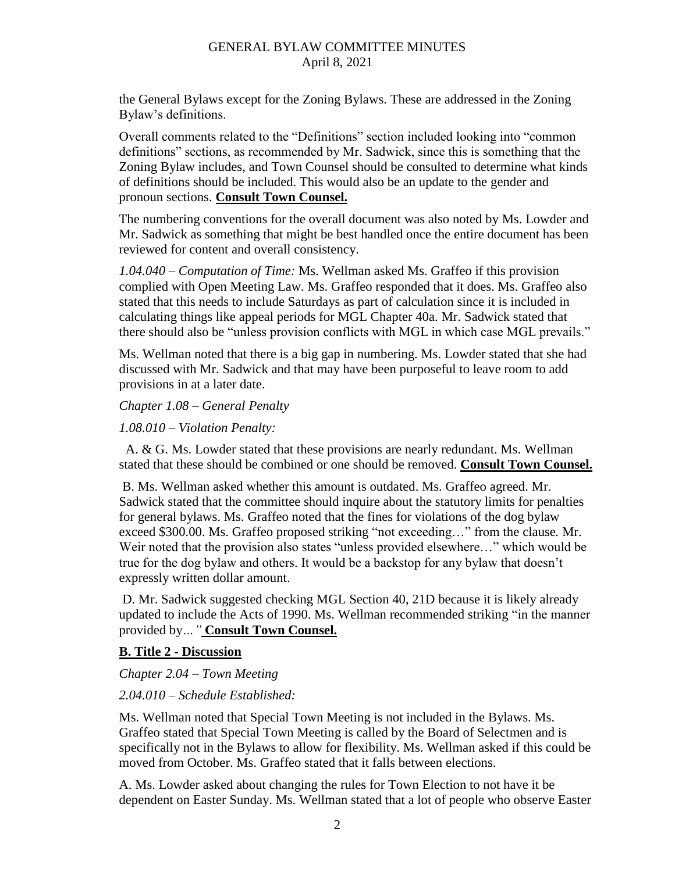the General Bylaws except for the Zoning Bylaws. These are addressed in the Zoning Bylaw's definitions.

Overall comments related to the "Definitions" section included looking into "common definitions" sections, as recommended by Mr. Sadwick, since this is something that the Zoning Bylaw includes, and Town Counsel should be consulted to determine what kinds of definitions should be included. This would also be an update to the gender and pronoun sections. **Consult Town Counsel.**

The numbering conventions for the overall document was also noted by Ms. Lowder and Mr. Sadwick as something that might be best handled once the entire document has been reviewed for content and overall consistency.

*1.04.040 – Computation of Time:* Ms. Wellman asked Ms. Graffeo if this provision complied with Open Meeting Law. Ms. Graffeo responded that it does. Ms. Graffeo also stated that this needs to include Saturdays as part of calculation since it is included in calculating things like appeal periods for MGL Chapter 40a. Mr. Sadwick stated that there should also be "unless provision conflicts with MGL in which case MGL prevails."

Ms. Wellman noted that there is a big gap in numbering. Ms. Lowder stated that she had discussed with Mr. Sadwick and that may have been purposeful to leave room to add provisions in at a later date.

*Chapter 1.08 – General Penalty*

*1.08.010 – Violation Penalty:*

A. & G. Ms. Lowder stated that these provisions are nearly redundant. Ms. Wellman stated that these should be combined or one should be removed. **Consult Town Counsel.**

B. Ms. Wellman asked whether this amount is outdated. Ms. Graffeo agreed. Mr. Sadwick stated that the committee should inquire about the statutory limits for penalties for general bylaws. Ms. Graffeo noted that the fines for violations of the dog bylaw exceed \$300.00. Ms. Graffeo proposed striking "not exceeding…" from the clause*.* Mr. Weir noted that the provision also states "unless provided elsewhere…" which would be true for the dog bylaw and others. It would be a backstop for any bylaw that doesn't expressly written dollar amount.

D. Mr. Sadwick suggested checking MGL Section 40, 21D because it is likely already updated to include the Acts of 1990. Ms. Wellman recommended striking "in the manner provided by*…"* **Consult Town Counsel.**

#### **B. Title 2 - Discussion**

*Chapter 2.04 – Town Meeting*

#### *2.04.010 – Schedule Established:*

Ms. Wellman noted that Special Town Meeting is not included in the Bylaws. Ms. Graffeo stated that Special Town Meeting is called by the Board of Selectmen and is specifically not in the Bylaws to allow for flexibility. Ms. Wellman asked if this could be moved from October. Ms. Graffeo stated that it falls between elections.

A. Ms. Lowder asked about changing the rules for Town Election to not have it be dependent on Easter Sunday. Ms. Wellman stated that a lot of people who observe Easter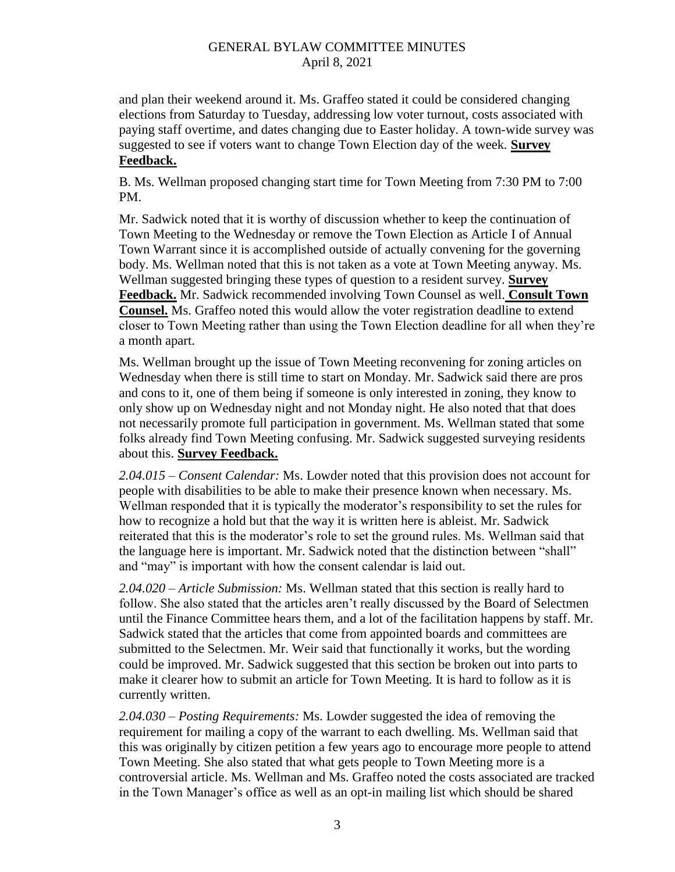and plan their weekend around it. Ms. Graffeo stated it could be considered changing elections from Saturday to Tuesday, addressing low voter turnout, costs associated with paying staff overtime, and dates changing due to Easter holiday. A town-wide survey was suggested to see if voters want to change Town Election day of the week*.* **Survey Feedback.**

B. Ms. Wellman proposed changing start time for Town Meeting from 7:30 PM to 7:00 PM.

Mr. Sadwick noted that it is worthy of discussion whether to keep the continuation of Town Meeting to the Wednesday or remove the Town Election as Article I of Annual Town Warrant since it is accomplished outside of actually convening for the governing body. Ms. Wellman noted that this is not taken as a vote at Town Meeting anyway. Ms. Wellman suggested bringing these types of question to a resident survey. **Survey Feedback.** Mr. Sadwick recommended involving Town Counsel as well. **Consult Town Counsel.** Ms. Graffeo noted this would allow the voter registration deadline to extend closer to Town Meeting rather than using the Town Election deadline for all when they're a month apart.

Ms. Wellman brought up the issue of Town Meeting reconvening for zoning articles on Wednesday when there is still time to start on Monday. Mr. Sadwick said there are pros and cons to it, one of them being if someone is only interested in zoning, they know to only show up on Wednesday night and not Monday night. He also noted that that does not necessarily promote full participation in government. Ms. Wellman stated that some folks already find Town Meeting confusing. Mr. Sadwick suggested surveying residents about this. **Survey Feedback.**

*2.04.015 – Consent Calendar:* Ms. Lowder noted that this provision does not account for people with disabilities to be able to make their presence known when necessary. Ms. Wellman responded that it is typically the moderator's responsibility to set the rules for how to recognize a hold but that the way it is written here is ableist. Mr. Sadwick reiterated that this is the moderator's role to set the ground rules. Ms. Wellman said that the language here is important. Mr. Sadwick noted that the distinction between "shall" and "may" is important with how the consent calendar is laid out.

*2.04.020 – Article Submission:* Ms. Wellman stated that this section is really hard to follow. She also stated that the articles aren't really discussed by the Board of Selectmen until the Finance Committee hears them, and a lot of the facilitation happens by staff. Mr. Sadwick stated that the articles that come from appointed boards and committees are submitted to the Selectmen. Mr. Weir said that functionally it works, but the wording could be improved. Mr. Sadwick suggested that this section be broken out into parts to make it clearer how to submit an article for Town Meeting. It is hard to follow as it is currently written.

*2.04.030 – Posting Requirements:* Ms. Lowder suggested the idea of removing the requirement for mailing a copy of the warrant to each dwelling. Ms. Wellman said that this was originally by citizen petition a few years ago to encourage more people to attend Town Meeting. She also stated that what gets people to Town Meeting more is a controversial article. Ms. Wellman and Ms. Graffeo noted the costs associated are tracked in the Town Manager's office as well as an opt-in mailing list which should be shared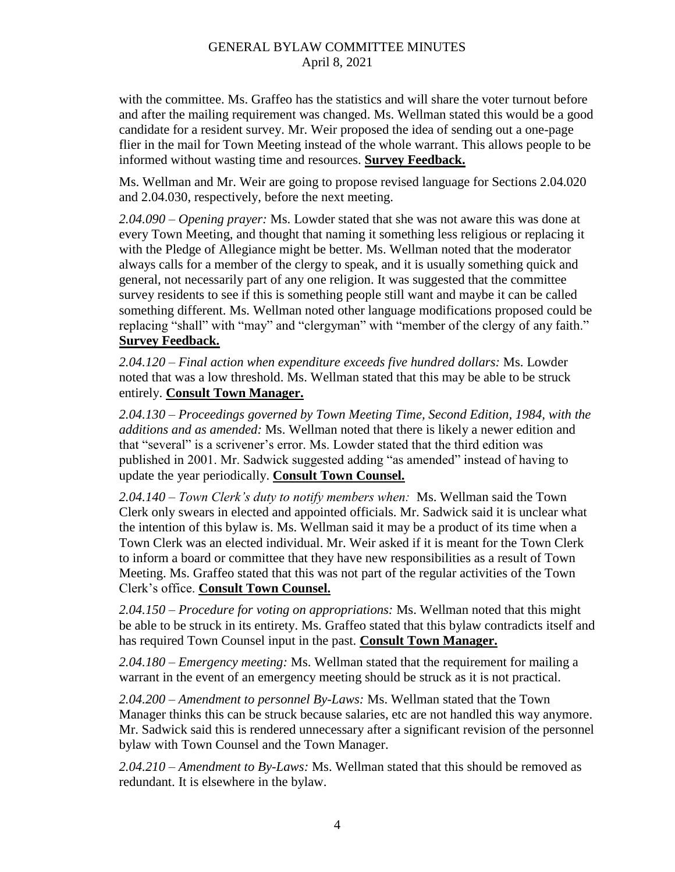with the committee. Ms. Graffeo has the statistics and will share the voter turnout before and after the mailing requirement was changed. Ms. Wellman stated this would be a good candidate for a resident survey. Mr. Weir proposed the idea of sending out a one-page flier in the mail for Town Meeting instead of the whole warrant. This allows people to be informed without wasting time and resources. **Survey Feedback.**

Ms. Wellman and Mr. Weir are going to propose revised language for Sections 2.04.020 and 2.04.030, respectively, before the next meeting.

*2.04.090 – Opening prayer:* Ms. Lowder stated that she was not aware this was done at every Town Meeting, and thought that naming it something less religious or replacing it with the Pledge of Allegiance might be better. Ms. Wellman noted that the moderator always calls for a member of the clergy to speak, and it is usually something quick and general, not necessarily part of any one religion. It was suggested that the committee survey residents to see if this is something people still want and maybe it can be called something different. Ms. Wellman noted other language modifications proposed could be replacing "shall" with "may" and "clergyman" with "member of the clergy of any faith." **Survey Feedback.**

*2.04.120 – Final action when expenditure exceeds five hundred dollars:* Ms. Lowder noted that was a low threshold. Ms. Wellman stated that this may be able to be struck entirely. **Consult Town Manager.**

*2.04.130 – Proceedings governed by Town Meeting Time, Second Edition, 1984, with the additions and as amended:* Ms. Wellman noted that there is likely a newer edition and that "several" is a scrivener's error. Ms. Lowder stated that the third edition was published in 2001. Mr. Sadwick suggested adding "as amended" instead of having to update the year periodically. **Consult Town Counsel.**

*2.04.140 – Town Clerk's duty to notify members when:* Ms. Wellman said the Town Clerk only swears in elected and appointed officials. Mr. Sadwick said it is unclear what the intention of this bylaw is. Ms. Wellman said it may be a product of its time when a Town Clerk was an elected individual. Mr. Weir asked if it is meant for the Town Clerk to inform a board or committee that they have new responsibilities as a result of Town Meeting. Ms. Graffeo stated that this was not part of the regular activities of the Town Clerk's office. **Consult Town Counsel.**

*2.04.150 – Procedure for voting on appropriations:* Ms. Wellman noted that this might be able to be struck in its entirety. Ms. Graffeo stated that this bylaw contradicts itself and has required Town Counsel input in the past. **Consult Town Manager.**

*2.04.180 – Emergency meeting:* Ms. Wellman stated that the requirement for mailing a warrant in the event of an emergency meeting should be struck as it is not practical.

*2.04.200 – Amendment to personnel By-Laws:* Ms. Wellman stated that the Town Manager thinks this can be struck because salaries, etc are not handled this way anymore. Mr. Sadwick said this is rendered unnecessary after a significant revision of the personnel bylaw with Town Counsel and the Town Manager.

*2.04.210 – Amendment to By-Laws:* Ms. Wellman stated that this should be removed as redundant. It is elsewhere in the bylaw.